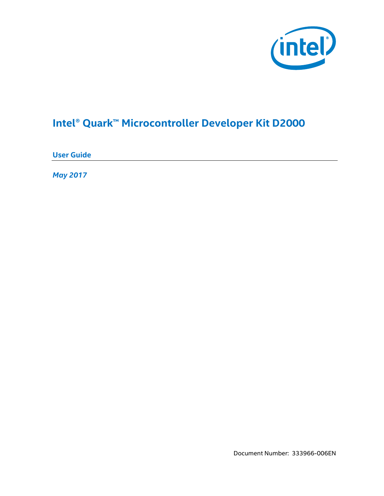

# **Intel® Quark™ Microcontroller Developer Kit D2000**

**User Guide** 

*May 2017* 

Document Number: 333966-006EN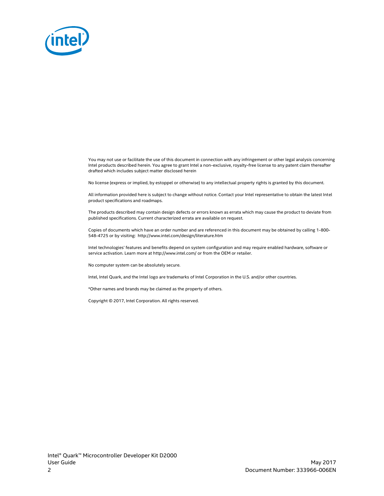

You may not use or facilitate the use of this document in connection with any infringement or other legal analysis concerning Intel products described herein. You agree to grant Intel a non-exclusive, royalty-free license to any patent claim thereafter drafted which includes subject matter disclosed herein

No license (express or implied, by estoppel or otherwise) to any intellectual property rights is granted by this document.

All information provided here is subject to change without notice. Contact your Intel representative to obtain the latest Intel product specifications and roadmaps.

The products described may contain design defects or errors known as errata which may cause the product to deviate from published specifications. Current characterized errata are available on request.

Copies of documents which have an order number and are referenced in this document may be obtained by calling 1-800- 548-4725 or by visiting: [http://w](http://www.intel.com/design/literature.htm)ww.intel.com/design/literature.htm

Intel technologies' features and benefits depend on system configuration and may require enabled hardware, software or service activation. Learn more at <http://www.intel.com/> or from the OEM or retailer.

No computer system can be absolutely secure.

Intel, Intel Quark, and the Intel logo are trademarks of Intel Corporation in the U.S. and/or other countries.

\*Other names and brands may be claimed as the property of others.

Copyright © 2017, Intel Corporation. All rights reserved.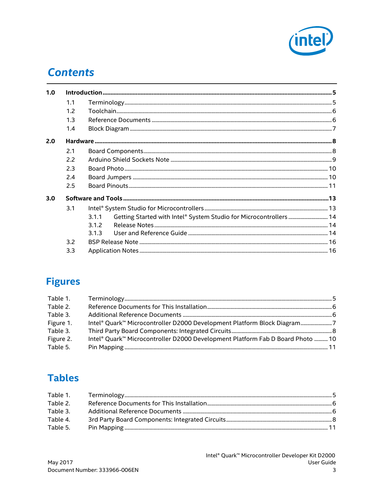

## **Contents**

| 1.0 |     |                                                                             |  |  |  |  |
|-----|-----|-----------------------------------------------------------------------------|--|--|--|--|
|     | 1.1 |                                                                             |  |  |  |  |
|     | 1.2 |                                                                             |  |  |  |  |
|     | 1.3 |                                                                             |  |  |  |  |
|     | 1.4 |                                                                             |  |  |  |  |
| 2.0 |     |                                                                             |  |  |  |  |
|     | 2.1 |                                                                             |  |  |  |  |
|     | 2.2 |                                                                             |  |  |  |  |
|     | 2.3 |                                                                             |  |  |  |  |
|     | 2.4 |                                                                             |  |  |  |  |
|     | 2.5 |                                                                             |  |  |  |  |
| 3.0 |     |                                                                             |  |  |  |  |
|     | 3.1 |                                                                             |  |  |  |  |
|     |     | Getting Started with Intel® System Studio for Microcontrollers  14<br>3.1.1 |  |  |  |  |
|     |     | 3.1.2                                                                       |  |  |  |  |
|     |     | 3.1.3                                                                       |  |  |  |  |
|     | 3.2 |                                                                             |  |  |  |  |
|     | 3.3 |                                                                             |  |  |  |  |

## **Figures**

| Table 1.  |                                                                                |  |
|-----------|--------------------------------------------------------------------------------|--|
| Table 2.  |                                                                                |  |
| Table 3.  |                                                                                |  |
| Figure 1. | Intel® Quark™ Microcontroller D2000 Development Platform Block Diagram         |  |
| Table 3.  |                                                                                |  |
| Figure 2. | Intel® Quark™ Microcontroller D2000 Development Platform Fab D Board Photo  10 |  |
| Table 5.  |                                                                                |  |

## **Tables**

| Table 1. |  |
|----------|--|
| Table 2. |  |
| Table 3. |  |
| Table 4. |  |
| Table 5. |  |
|          |  |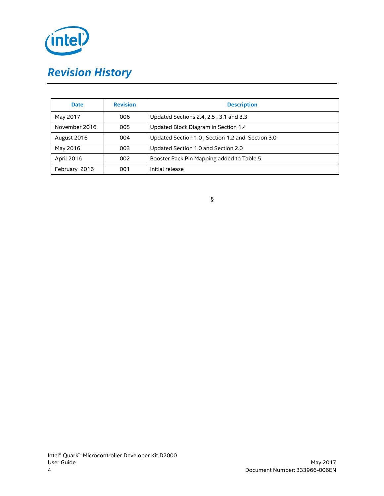

# *Revision History*

| <b>Date</b>   | <b>Revision</b> | <b>Description</b>                               |
|---------------|-----------------|--------------------------------------------------|
| May 2017      | 006             | Updated Sections 2.4, 2.5, 3.1 and 3.3           |
| November 2016 | 005             | Updated Block Diagram in Section 1.4             |
| August 2016   | 004             | Updated Section 1.0, Section 1.2 and Section 3.0 |
| May 2016      | 003             | Updated Section 1.0 and Section 2.0              |
| April 2016    | 002             | Booster Pack Pin Mapping added to Table 5.       |
| February 2016 | 001             | Initial release                                  |

§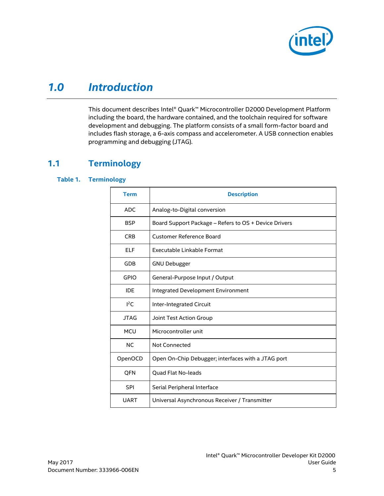

## <span id="page-4-0"></span>*1.0 Introduction*

<span id="page-4-1"></span>This document describes Intel® Quark™ Microcontroller D2000 Development Platform including the board, the hardware contained, and the toolchain required for software development and debugging. The platform consists of a small form-factor board and includes flash storage, a 6-axis compass and accelerometer. A USB connection enables programming and debugging (JTAG).

### **1.1 Terminology**

#### <span id="page-4-2"></span>**Table 1. Terminology**

| <b>Term</b> | <b>Description</b>                                    |
|-------------|-------------------------------------------------------|
| <b>ADC</b>  | Analog-to-Digital conversion                          |
| <b>BSP</b>  | Board Support Package – Refers to OS + Device Drivers |
| <b>CRB</b>  | Customer Reference Board                              |
| ELF         | Executable Linkable Format                            |
| <b>GDB</b>  | <b>GNU Debugger</b>                                   |
| <b>GPIO</b> | General-Purpose Input / Output                        |
| <b>IDE</b>  | Integrated Development Environment                    |
| $1^2C$      | Inter-Integrated Circuit                              |
| <b>JTAG</b> | Joint Test Action Group                               |
| <b>MCU</b>  | Microcontroller unit                                  |
| <b>NC</b>   | Not Connected                                         |
| OpenOCD     | Open On-Chip Debugger; interfaces with a JTAG port    |
| <b>QFN</b>  | <b>Ouad Flat No-leads</b>                             |
| <b>SPI</b>  | Serial Peripheral Interface                           |
| <b>UART</b> | Universal Asynchronous Receiver / Transmitter         |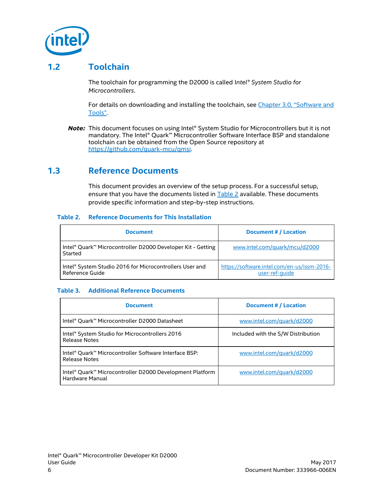

## **1.2 Toolchain**

<span id="page-5-0"></span>The toolchain for programming the D2000 is called I*ntel® System Studio for Microcontrollers*.

For details on downloading and installing the toolchain, see Chapter [3.0,](#page-12-0) "[Software](#page-12-0) and [Tools](#page-12-0)".

**Note:** This document focuses on using Intel® System Studio for Microcontrollers but it is not mandatory. The Intel® Quark™ Microcontroller Software Interface BSP and standalone toolchain can be obtained from the Open Source repository at [https://github.com/quark-mcu/qmsi.](https://github.com/quark-mcu/qmsi) 

### **1.3 Reference Documents**

<span id="page-5-1"></span>This document provides an overview of the setup process. For a successful setup, ensure that you have the documents listed in **Table 2** available. These documents provide specific information and step-by-step instructions.

#### <span id="page-5-2"></span>**Table 2. Reference Documents for This Installation**

| <b>Document</b>                                                            | Document # / Location                                         |
|----------------------------------------------------------------------------|---------------------------------------------------------------|
| Intel® Quark™ Microcontroller D2000 Developer Kit - Getting<br>Started     | www.intel.com/guark/mcu/d2000                                 |
| Intel® System Studio 2016 for Microcontrollers User and<br>Reference Guide | https://software.intel.com/en-us/issm-2016-<br>user-ref-quide |

#### <span id="page-5-3"></span>**Table 3. Additional Reference Documents**

| <b>Document</b>                                                               | Document # / Location              |
|-------------------------------------------------------------------------------|------------------------------------|
| Intel® Quark™ Microcontroller D2000 Datasheet                                 | www.intel.com/guark/d2000          |
| Intel® System Studio for Microcontrollers 2016<br><b>Release Notes</b>        | Included with the S/W Distribution |
| Intel® Quark™ Microcontroller Software Interface BSP:<br><b>Release Notes</b> | www.intel.com/guark/d2000          |
| Intel® Quark™ Microcontroller D2000 Development Platform<br>Hardware Manual   | www.intel.com/guark/d2000          |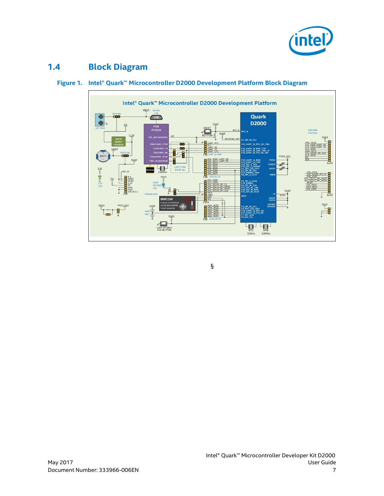

## **1.4 Block Diagram**

<span id="page-6-0"></span>

<span id="page-6-1"></span>**Figure 1. Intel® Quark™ Microcontroller D2000 Development Platform Block Diagram** 

§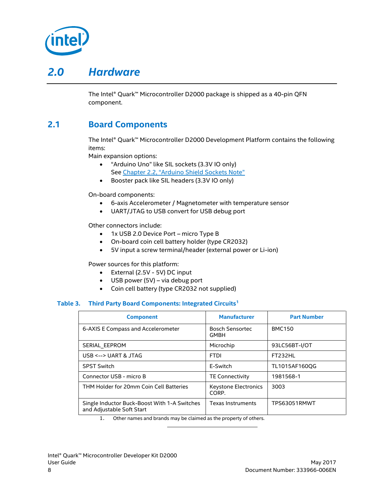

## *2.0 Hardware*

<span id="page-7-1"></span><span id="page-7-0"></span>The Intel® Quark™ Microcontroller D2000 package is shipped as a 40-pin QFN component.

## **2.1 Board Components**

The Intel® Quark™ Microcontroller D2000 Development Platform contains the following items:

Main expansion options:

- "Arduino Uno" like SIL sockets (3.3V IO only) See Chapte[r 2.2](#page-8-0), "[Arduino Shield Sockets Note](#page-8-0)"
- Booster pack like SIL headers (3.3V IO only)

On-board components:

- 6-axis Accelerometer / Magnetometer with temperature sensor
- UART/JTAG to USB convert for USB debug port

Other connectors include:

- 1x USB 2.0 Device Port micro Type B
- On-board coin cell battery holder (type CR2032)
- 5V input a screw terminal/header (external power or Li-ion)

Power sources for this platform:

- External (2.5V 5V) DC input
- USB power (5V) via debug port
- Coin cell battery (type CR2032 not supplied)

#### <span id="page-7-2"></span>**Table 3. Third Party Board Components: Integrated Circuits<sup>1</sup>**

| <b>Component</b>                                                          | <b>Manufacturer</b>                  | <b>Part Number</b> |  |
|---------------------------------------------------------------------------|--------------------------------------|--------------------|--|
| 6-AXIS E Compass and Accelerometer                                        | <b>Bosch Sensortec</b><br>GMBH       | <b>BMC150</b>      |  |
| SERIAL EEPROM                                                             | Microchip                            | 93LC56BT-I/OT      |  |
| USB <--> UART & JTAG                                                      | <b>FTDI</b>                          | FT232HL            |  |
| <b>SPST Switch</b>                                                        | E-Switch                             | TL1015AF160QG      |  |
| Connector USB - micro B                                                   | <b>TE Connectivity</b>               | 1981568-1          |  |
| THM Holder for 20mm Coin Cell Batteries                                   | <b>Keystone Electronics</b><br>CORP. | 3003               |  |
| Single Inductor Buck-Boost With 1-A Switches<br>and Adjustable Soft Start | <b>Texas Instruments</b>             | TPS63051RMWT       |  |

1. Other names and brands may be claimed as the property of others.

 $\overline{a}$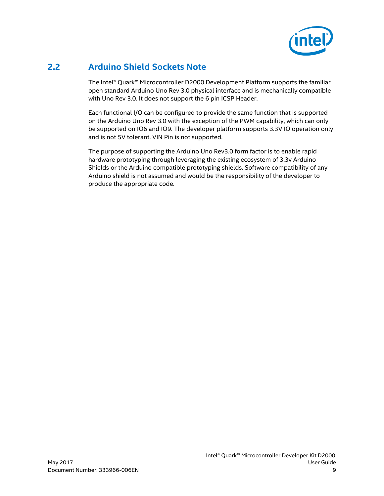

## **2.2 Arduino Shield Sockets Note**

<span id="page-8-0"></span>The Intel® Quark™ Microcontroller D2000 Development Platform supports the familiar open standard Arduino Uno Rev 3.0 physical interface and is mechanically compatible with Uno Rev 3.0. It does not support the 6 pin ICSP Header.

Each functional I/O can be configured to provide the same function that is supported on the Arduino Uno Rev 3.0 with the exception of the PWM capability, which can only be supported on IO6 and IO9. The developer platform supports 3.3V IO operation only and is not 5V tolerant. VIN Pin is not supported.

The purpose of supporting the Arduino Uno Rev3.0 form factor is to enable rapid hardware prototyping through leveraging the existing ecosystem of 3.3v Arduino Shields or the Arduino compatible prototyping shields. Software compatibility of any Arduino shield is not assumed and would be the responsibility of the developer to produce the appropriate code.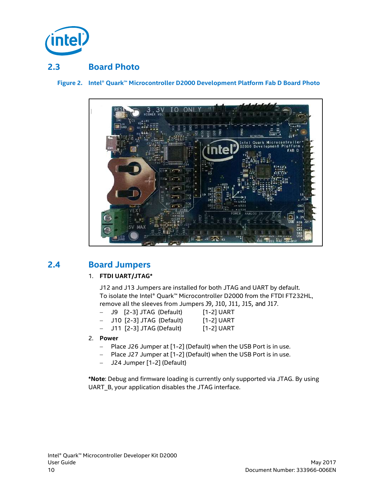

## **2.3 Board Photo**

<span id="page-9-2"></span>**Figure 2. Intel® Quark™ Microcontroller D2000 Development Platform Fab D Board Photo**

<span id="page-9-0"></span>

### **2.4 Board Jumpers**

#### <span id="page-9-1"></span>1. **FTDI UART/JTAG\***

J12 and J13 Jumpers are installed for both JTAG and UART by default. To isolate the Intel® Quark™ Microcontroller D2000 from the FTDI FT232HL, remove all the sleeves from Jumpers J9, J10, J11, J15, and J17.

- J9 [2-3] JTAG (Default) [1-2] UART
	-
- J10 [2-3] JTAG (Default) [1-2] UART
	-
- J11 [2-3] JTAG (Default) [1-2] UART
	-
- 2. **Power** 
	- Place J26 Jumper at [1-2] (Default) when the USB Port is in use.
	- Place J27 Jumper at [1-2] (Default) when the USB Port is in use.
	- J24 Jumper [1-2] (Default)

**\*Note**: Debug and firmware loading is currently only supported via JTAG. By using UART\_B, your application disables the JTAG interface.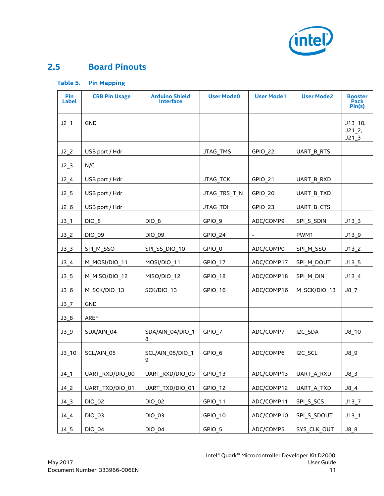

## **2.5 Board Pinouts**

<span id="page-10-1"></span><span id="page-10-0"></span>**Table 5. Pin Mapping**

| Pin<br><b>Label</b> | <b>CRB Pin Usage</b> | <b>Arduino Shield</b><br><b>Interface</b> | <b>User Mode0</b> | <b>User Mode1</b> | <b>User Mode2</b> | <b>Booster</b><br>Pack<br>Pin(s) |
|---------------------|----------------------|-------------------------------------------|-------------------|-------------------|-------------------|----------------------------------|
| $J2_1$              | <b>GND</b>           |                                           |                   |                   |                   | $J13_10,$<br>J212,<br>$J21_3$    |
| $J2_2$              | USB port / Hdr       |                                           | JTAG_TMS          | GPIO_22           | UART_B_RTS        |                                  |
| $J2_3$              | N/C                  |                                           |                   |                   |                   |                                  |
| $J2_4$              | USB port / Hdr       |                                           | JTAG_TCK          | GPIO 21           | UART B RXD        |                                  |
| $J2_5$              | USB port / Hdr       |                                           | JTAG TRS T N      | GPIO 20           | UART B TXD        |                                  |
| $J2_6$              | USB port / Hdr       |                                           | JTAG_TDI          | GPIO_23           | UART_B_CTS        |                                  |
| $J3_1$              | $DIO_8$              | $DIO_8$                                   | GPIO_9            | ADC/COMP9         | SPI_S_SDIN        | $J13_3$                          |
| $J3_2$              | DIO_09               | <b>DIO 09</b>                             | GPIO_24           |                   | PWM1              | $J13_9$                          |
| $J3_3$              | SPI_M_SSO            | SPI_SS_DIO_10                             | GPIO 0            | ADC/COMP0         | SPI_M_SSO         | $J13_2$                          |
| $J3_4$              | M_MOSI/DIO_11        | MOSI/DIO_11                               | GPIO_17           | ADC/COMP17        | SPI_M_DOUT        | $J13_5$                          |
| $J3_5$              | M_MISO/DIO_12        | MISO/DIO_12                               | GPIO_18           | ADC/COMP18        | SPI_M_DIN         | $J13_4$                          |
| $J3_6$              | M_SCK/DIO_13         | SCK/DIO 13                                | GPIO 16           | ADC/COMP16        | M SCK/DIO 13      | $J8_7$                           |
| $J3_7$              | <b>GND</b>           |                                           |                   |                   |                   |                                  |
| $J3_8$              | <b>AREF</b>          |                                           |                   |                   |                   |                                  |
| $J3_9$              | SDA/AIN 04           | SDA/AIN_04/DIO_1<br>8                     | GPIO 7            | ADC/COMP7         | I2C SDA           | $JB_10$                          |
| $J3_10$             | SCL/AIN_05           | SCL/AIN 05/DIO 1<br>9                     | GPIO 6            | ADC/COMP6         | I2C_SCL           | $J8_9$                           |
| $J4_1$              | UART_RXD/DIO_00      | UART_RXD/DIO_00                           | GPIO_13           | ADC/COMP13        | UART_A_RXD        | $J8_3$                           |
| $J4_2$              | UART TXD/DIO 01      | UART_TXD/DIO_01                           | GPIO_12           | ADC/COMP12        | UART_A_TXD        | $J8_4$                           |
| $J4_3$              | DIO_02               | DIO_02                                    | GPIO_11           | ADC/COMP11        | SPI_S_SCS         | $J13_7$                          |
| $J4_4$              | DIO_03               | DIO 03                                    | GPIO_10           | ADC/COMP10        | SPI_S_SDOUT       | $J13_1$                          |
| $J4_5$              | DIO_04               | DIO_04                                    | GPIO_5            | ADC/COMP5         | SYS_CLK_OUT       | $J8_8$                           |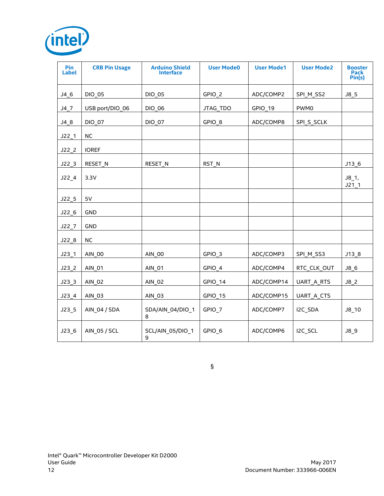| <i><b>intel</b></i> |
|---------------------|
|---------------------|

| Pin<br><b>Label</b> | <b>CRB Pin Usage</b> | <b>Arduino Shield</b><br><b>Interface</b> | <b>User Mode0</b> | <b>User Mode1</b> | <b>User Mode2</b> | <b>Booster</b><br><b>Pack</b><br>Pin(s) |
|---------------------|----------------------|-------------------------------------------|-------------------|-------------------|-------------------|-----------------------------------------|
| $J4_6$              | <b>DIO 05</b>        | <b>DIO 05</b>                             | GPIO <sub>2</sub> | ADC/COMP2         | SPI_M_SS2         | J8 <sub>5</sub>                         |
| $J4_7$              | USB port/DIO 06      | <b>DIO 06</b>                             | JTAG TDO          | GPIO 19           | PWM0              |                                         |
| $J4_8$              | DIO_07               | <b>DIO 07</b>                             | GPIO_8            | ADC/COMP8         | SPI_S_SCLK        |                                         |
| J22 1               | <b>NC</b>            |                                           |                   |                   |                   |                                         |
| $J22_2$             | <b>IOREF</b>         |                                           |                   |                   |                   |                                         |
| J22 3               | RESET_N              | RESET N                                   | RST_N             |                   |                   | J13 6                                   |
| J22 4               | 3.3V                 |                                           |                   |                   |                   | $J8_1,$<br>J211                         |
| J22 5               | 5V                   |                                           |                   |                   |                   |                                         |
| $J22-6$             | <b>GND</b>           |                                           |                   |                   |                   |                                         |
| $J22$ $7$           | GND                  |                                           |                   |                   |                   |                                         |
| $J22_8$             | <b>NC</b>            |                                           |                   |                   |                   |                                         |
| $J23_1$             | AIN_00               | AIN_00                                    | GPIO_3            | ADC/COMP3         | SPI_M_SS3         | $J13_8$                                 |
| $J23_2$             | AIN_01               | AIN_01                                    | GPIO 4            | ADC/COMP4         | RTC_CLK_OUT       | $J8_6$                                  |
| J23 3               | AIN 02               | AIN 02                                    | GPIO 14           | ADC/COMP14        | UART_A_RTS        | $J8_2$                                  |
| $J23_4$             | AIN_03               | AIN_03                                    | GPIO_15           | ADC/COMP15        | UART_A_CTS        |                                         |
| $J23_5$             | AIN 04 / SDA         | SDA/AIN 04/DIO 1<br>8                     | GPIO 7            | ADC/COMP7         | I2C SDA           | $J8_1$ 10                               |
| J23 6               | AIN 05 / SCL         | SCL/AIN 05/DIO 1<br>9                     | GPIO 6            | ADC/COMP6         | I2C SCL           | $J8_9$                                  |

§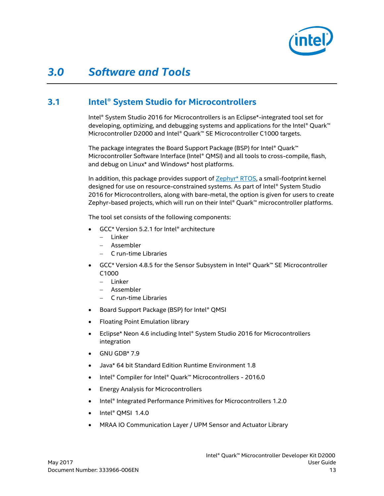

## <span id="page-12-0"></span>*3.0 Software and Tools*

## **3.1 Intel® System Studio for Microcontrollers**

<span id="page-12-1"></span>Intel® System Studio 2016 for Microcontrollers is an Eclipse\*-integrated tool set for developing, optimizing, and debugging systems and applications for the Intel® Quark™ Microcontroller D2000 and Intel® Quark™ SE Microcontroller C1000 targets.

The package integrates the Board Support Package (BSP) for Intel® Quark™ Microcontroller Software Interface (Intel® QMSI) and all tools to cross-compile, flash, and debug on Linux\* and Windows\* host platforms.

In addition, this package provides support of  $\mathsf{Zephyr*}$  RTOS, a small-footprint kernel designed for use on resource-constrained systems. As part of Intel® System Studio 2016 for Microcontrollers, along with bare-metal, the option is given for users to create Zephyr-based projects, which will run on their Intel® Quark™ microcontroller platforms.

The tool set consists of the following components:

- GCC\* Version 5.2.1 for Intel® architecture
	- Linker
	- Assembler
	- C run-time Libraries
- GCC\* Version 4.8.5 for the Sensor Subsystem in Intel® Quark™ SE Microcontroller C1000
	- Linker
	- Assembler
	- C run-time Libraries
- Board Support Package (BSP) for Intel® QMSI
- Floating Point Emulation library
- Eclipse\* Neon 4.6 including Intel® System Studio 2016 for Microcontrollers integration
- $\bullet$  GNU GDB\* 7.9
- Java\* 64 bit Standard Edition Runtime Environment 1.8
- Intel® Compiler for Intel® Quark™ Microcontrollers 2016.0
- **•** Energy Analysis for Microcontrollers
- Intel<sup>®</sup> Integrated Performance Primitives for Microcontrollers 1.2.0
- Intel® QMSI 1.4.0
- MRAA IO Communication Layer / UPM Sensor and Actuator Library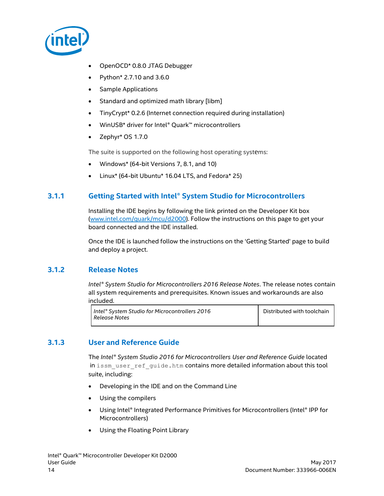

- OpenOCD\* 0.8.0 JTAG Debugger
- Python\* 2.7.10 and 3.6.0
- Sample Applications
- Standard and optimized math library [libm]
- TinyCrypt\* 0.2.6 (Internet connection required during installation)
- WinUSB\* driver for Intel® Quark™ microcontrollers
- Zephyr\* OS 1.7.0

The suite is supported on the following host operating systems:

- Windows\* (64-bit Versions 7, 8.1, and 10)
- <span id="page-13-0"></span>Linux\* (64-bit Ubuntu\* 16.04 LTS, and Fedora\* 25)

#### **3.1.1 Getting Started with Intel® System Studio for Microcontrollers**

Installing the IDE begins by following the link printed on the Developer Kit box [\(www.intel.com/quark/mcu/d2000\)](www.intel.com/quark/mcu/d2000). Follow the instructions on this page to get your board connected and the IDE installed.

<span id="page-13-1"></span>Once the IDE is launched follow the instructions on the 'Getting Started' page to build and deploy a project.

#### **3.1.2 Release Notes**

*Intel® System Studio for Microcontrollers 2016 Release Notes*. The release notes contain all system requirements and prerequisites. Known issues and workarounds are also included.

<span id="page-13-2"></span>

| Intel <sup>®</sup> System Studio for Microcontrollers 2016 | Distributed with toolchain |
|------------------------------------------------------------|----------------------------|
| Release Notes                                              |                            |

### **3.1.3 User and Reference Guide**

The *Intel® System Studio 2016 for Microcontrollers User and Reference Guide* located in issm\_user\_ref\_quide.htm contains more detailed information about this tool suite, including:

- Developing in the IDE and on the Command Line
- Using the compilers
- Using Intel® Integrated Performance Primitives for Microcontrollers (Intel® IPP for Microcontrollers)
- Using the Floating Point Library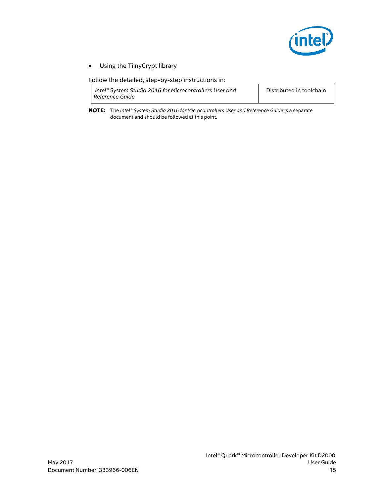

Using the TiinyCrypt library

Follow the detailed, step-by-step instructions in:

*Intel® System Studio 2016 for Microcontrollers User and Reference Guide*

Distributed in toolchain

**NOTE:** The *Intel® System Studio 2016 for Microcontrollers User and Reference Guide* is a separate document and should be followed at this point.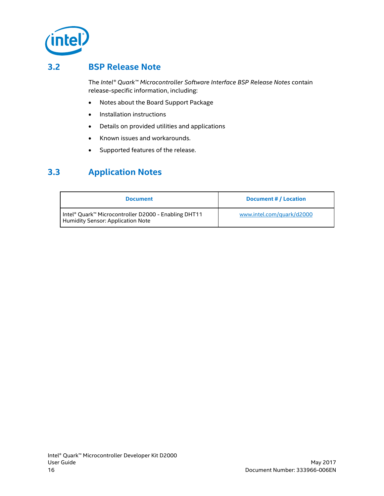

### **3.2 BSP Release Note**

<span id="page-15-0"></span>The *Intel® Quark™ Microcontroller Software Interface BSP Release Notes* contain release-specific information, including:

- Notes about the Board Support Package
- Installation instructions
- Details on provided utilities and applications
- Known issues and workarounds.
- <span id="page-15-1"></span>• Supported features of the release.

### **3.3 Application Notes**

| <b>Document</b>                                                                           | Document # / Location     |
|-------------------------------------------------------------------------------------------|---------------------------|
| Intel® Quark™ Microcontroller D2000 - Enabling DHT11<br>Humidity Sensor: Application Note | www.intel.com/guark/d2000 |